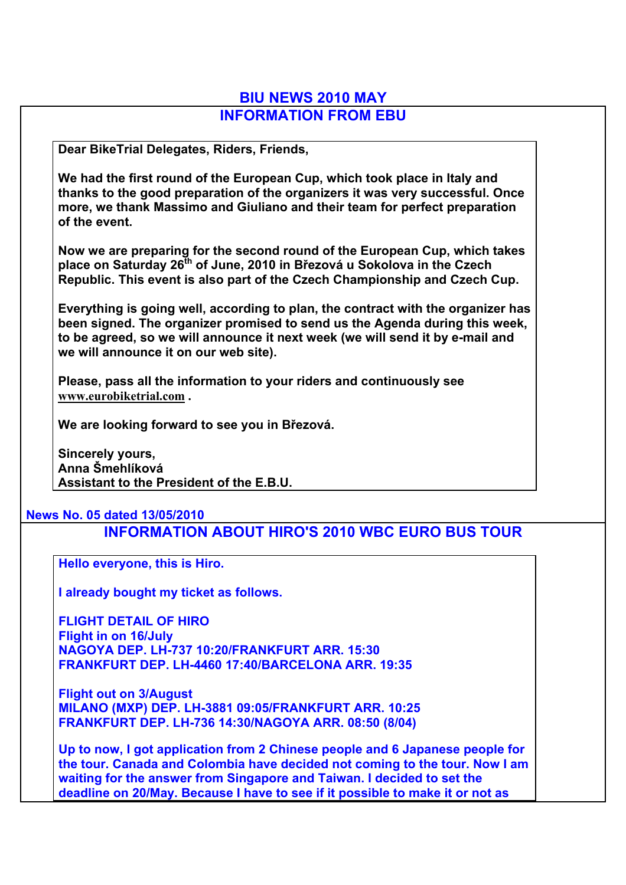## **BIU NEWS 2010 MAY INFORMATION FROM EBU**

**Dear BikeTrial Delegates, Riders, Friends,**

**We had the first round of the European Cup, which took place in Italy and thanks to the good preparation of the organizers it was very successful. Once more, we thank Massimo and Giuliano and their team for perfect preparation of the event.**

**Now we are preparing for the second round of the European Cup, which takes place on Saturday 26th of June, 2010 in Březová u Sokolova in the Czech Republic. This event is also part of the Czech Championship and Czech Cup.**

**Everything is going well, according to plan, the contract with the organizer has been signed. The organizer promised to send us the Agenda during this week, to be agreed, so we will announce it next week (we will send it by e-mail and we will announce it on our web site).**

**Please, pass all the information to your riders and continuously see www.eurobiketrial.com .**

**We are looking forward to see you in Březová.**

**Sincerely yours, Anna Šmehlíková Assistant to the President of the E.B.U.**

## **News No. 05 dated 13/05/2010**

**INFORMATION ABOUT HIRO'S 2010 WBC EURO BUS TOUR**

**Hello everyone, this is Hiro.**

**I already bought my ticket as follows.**

**FLIGHT DETAIL OF HIRO Flight in on 16/July NAGOYA DEP. LH-737 10:20/FRANKFURT ARR. 15:30 FRANKFURT DEP. LH-4460 17:40/BARCELONA ARR. 19:35**

**Flight out on 3/August MILANO (MXP) DEP. LH-3881 09:05/FRANKFURT ARR. 10:25 FRANKFURT DEP. LH-736 14:30/NAGOYA ARR. 08:50 (8/04)**

**Up to now, I got application from 2 Chinese people and 6 Japanese people for the tour. Canada and Colombia have decided not coming to the tour. Now I am waiting for the answer from Singapore and Taiwan. I decided to set the deadline on 20/May. Because I have to see if it possible to make it or not as**